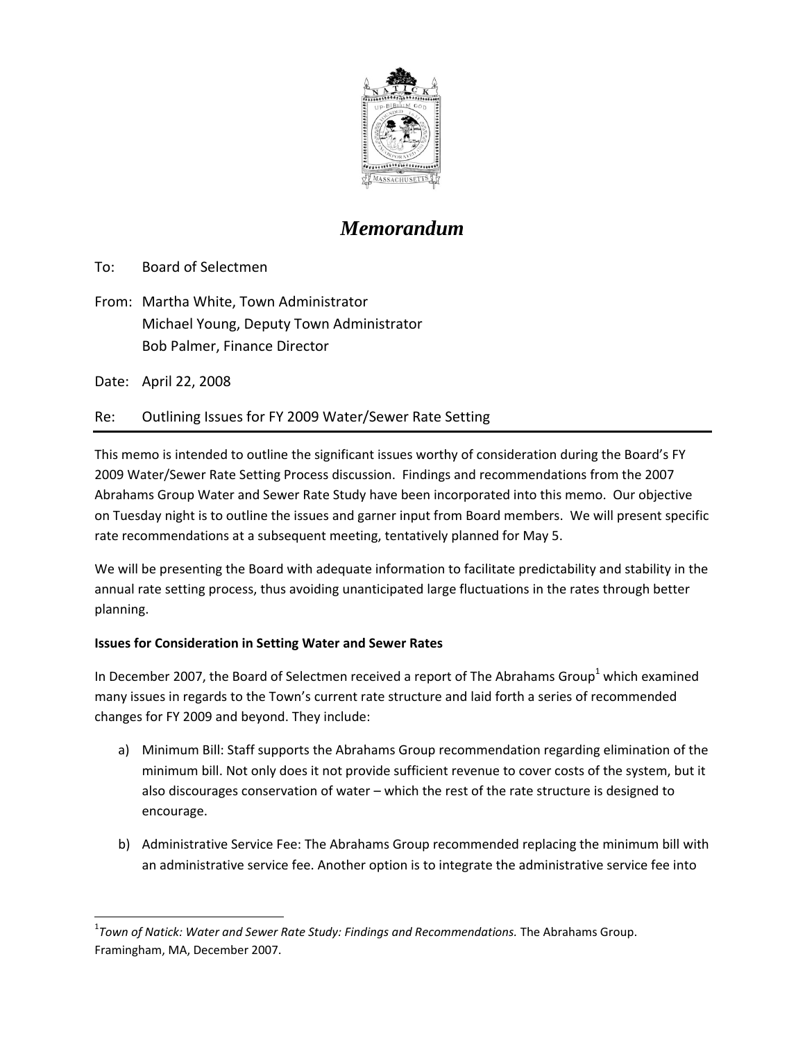

## *Memorandum*

To: Board of Selectmen

From: Martha White, Town Administrator Michael Young, Deputy Town Administrator Bob Palmer, Finance Director

Date: April 22, 2008

Re: Outlining Issues for FY 2009 Water/Sewer Rate Setting

This memo is intended to outline the significant issues worthy of consideration during the Board's FY 2009 Water/Sewer Rate Setting Process discussion. Findings and recommendations from the 2007 Abrahams Group Water and Sewer Rate Study have been incorporated into this memo. Our objective on Tuesday night is to outline the issues and garner input from Board members. We will present specific rate recommendations at a subsequent meeting, tentatively planned for May 5.

We will be presenting the Board with adequate information to facilitate predictability and stability in the annual rate setting process, thus avoiding unanticipated large fluctuations in the rates through better planning.

## **Issues for Consideration in Setting Water and Sewer Rates**

In December 2007, the Board of Selectmen received a report of The Abrahams Group<sup>1</sup> which examined many issues in regards to the Town's current rate structure and laid forth a series of recommended changes for FY 2009 and beyond. They include:

- a) Minimum Bill: Staff supports the Abrahams Group recommendation regarding elimination of the minimum bill. Not only does it not provide sufficient revenue to cover costs of the system, but it also discourages conservation of water – which the rest of the rate structure is designed to encourage.
- b) Administrative Service Fee: The Abrahams Group recommended replacing the minimum bill with an administrative service fee. Another option is to integrate the administrative service fee into

<sup>1</sup> *Town of Natick: Water and Sewer Rate Study: Findings and Recommendations.* The Abrahams Group. Framingham, MA, December 2007.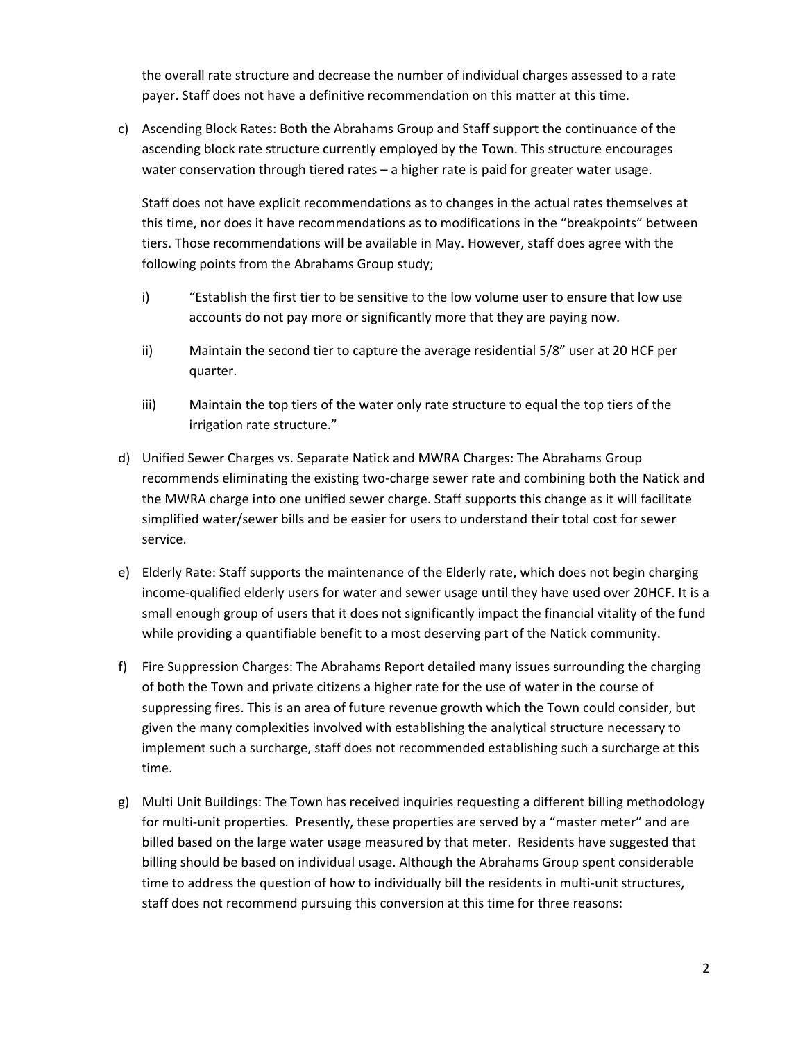the overall rate structure and decrease the number of individual charges assessed to a rate payer. Staff does not have a definitive recommendation on this matter at this time.

c) Ascending Block Rates: Both the Abrahams Group and Staff support the continuance of the ascending block rate structure currently employed by the Town. This structure encourages water conservation through tiered rates – a higher rate is paid for greater water usage.

Staff does not have explicit recommendations as to changes in the actual rates themselves at this time, nor does it have recommendations as to modifications in the "breakpoints" between tiers. Those recommendations will be available in May. However, staff does agree with the following points from the Abrahams Group study;

- i) "Establish the first tier to be sensitive to the low volume user to ensure that low use accounts do not pay more or significantly more that they are paying now.
- ii) Maintain the second tier to capture the average residential 5/8" user at 20 HCF per quarter.
- iii) Maintain the top tiers of the water only rate structure to equal the top tiers of the irrigation rate structure."
- d) Unified Sewer Charges vs. Separate Natick and MWRA Charges: The Abrahams Group recommends eliminating the existing two-charge sewer rate and combining both the Natick and the MWRA charge into one unified sewer charge. Staff supports this change as it will facilitate simplified water/sewer bills and be easier for users to understand their total cost for sewer service.
- e) Elderly Rate: Staff supports the maintenance of the Elderly rate, which does not begin charging income‐qualified elderly users for water and sewer usage until they have used over 20HCF. It is a small enough group of users that it does not significantly impact the financial vitality of the fund while providing a quantifiable benefit to a most deserving part of the Natick community.
- f) Fire Suppression Charges: The Abrahams Report detailed many issues surrounding the charging of both the Town and private citizens a higher rate for the use of water in the course of suppressing fires. This is an area of future revenue growth which the Town could consider, but given the many complexities involved with establishing the analytical structure necessary to implement such a surcharge, staff does not recommended establishing such a surcharge at this time.
- g) Multi Unit Buildings: The Town has received inquiries requesting a different billing methodology for multi-unit properties. Presently, these properties are served by a "master meter" and are billed based on the large water usage measured by that meter. Residents have suggested that billing should be based on individual usage. Although the Abrahams Group spent considerable time to address the question of how to individually bill the residents in multi-unit structures, staff does not recommend pursuing this conversion at this time for three reasons: